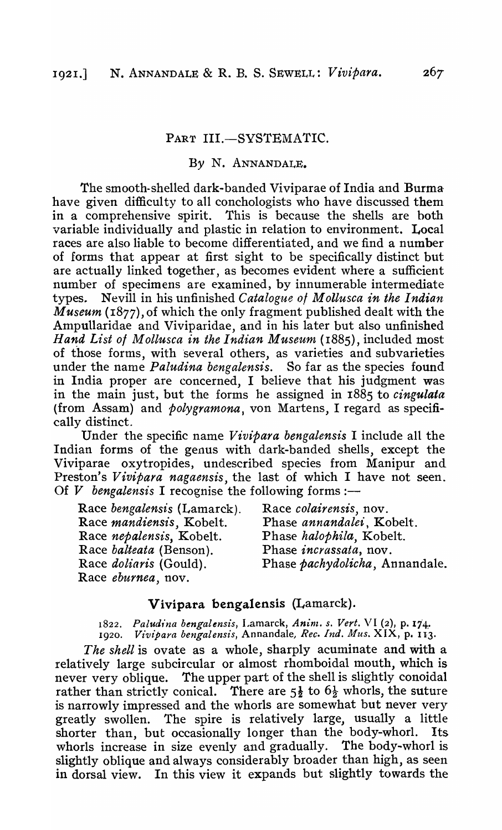## PART III.-SYSTEMATIC.

## *By* N. ANNANDALE.

The smooth-shelled dark-banded Viviparae of India and Burma have given difficulty to all conchologists who have discussed them in a comprehensive spirit. This is because the shells are both variable individually and plastic in relation to environment. Local races are also liable to become differentiated, and we find a number of forms that appear at first sight to be specifically distinct but are actually linked together, as becomes evident where a sufficient number of specimens are examined, by innumerable intermediate types. Nevill in his unfinished *Catalogue of Mollusca in the Indian Museum* (1877), of which the only fragment published dealt with the Ampullaridae and Viviparidae, and in his later but also unfinished *Hand List 01 Mollusca in the I ndian Museum* (1885), included most of those forms, with "several others, as varieties and subvarieties under the name *Paludina bengalensis.* So far as the species found in India proper are concerned, I believe that his judgment was in the main just, but the forms he assigned in 1885 to *cingulata*  (from Assam) and *polygramona,* von Martens, I regard as specifically distinct.

Under the specific name *Vivipara bengalensis* I include all the Indian forms of the genus with dark-banded shells, except the Viviparae oxytropides, undescribed species from Manipur and Preston's *Vivipara nagaensis,* the last of which I have not seen. Of  $V$  bengalensis I recognise the following forms :-

| Race bengalensis (Lamarck).    | Race colairensis, nov.         |
|--------------------------------|--------------------------------|
| Race mandiensis, Kobelt.       | Phase annandalei, Kobelt.      |
| Race nepalensis, Kobelt.       | Phase halophila, Kobelt.       |
| Race <i>balteata</i> (Benson). | Phase <i>incrassata</i> , nov. |
| Race <i>doliaris</i> (Gould).  | Phase pachydolicha, Annandale. |
| Race eburnea, nov.             |                                |

## Vivipara bengalensis (Lamarck).

1822. Paludina bengalensis, Lamarck, Anim. s. Vert. VI (2), p. 174. 1920. *V£v£para bengalensis,* Annandale, *Rec. Ind. Mus.* XIX, p. 113.

*The shell* is ovate as a whole, sharply acuminate and With a relatively large subcircular or almost rhomboidal mouth, which is never very oblique. The upper part of the shell is slightly conoidal rather than strictly conical. There are  $5\frac{1}{2}$  to  $6\frac{1}{2}$  whorls, the suture is narrowly impressed and the whorls are somewhat but never very greatly swollen. The spire is relatively large, usually a little shorter than, but occasionally longer than the body-whorl. Its whorls increase in size evenly and gradually. The body-whorl is slightly oblique and always considerably broader than high, as seen in dorsal view. In this view it expands but slightly towards the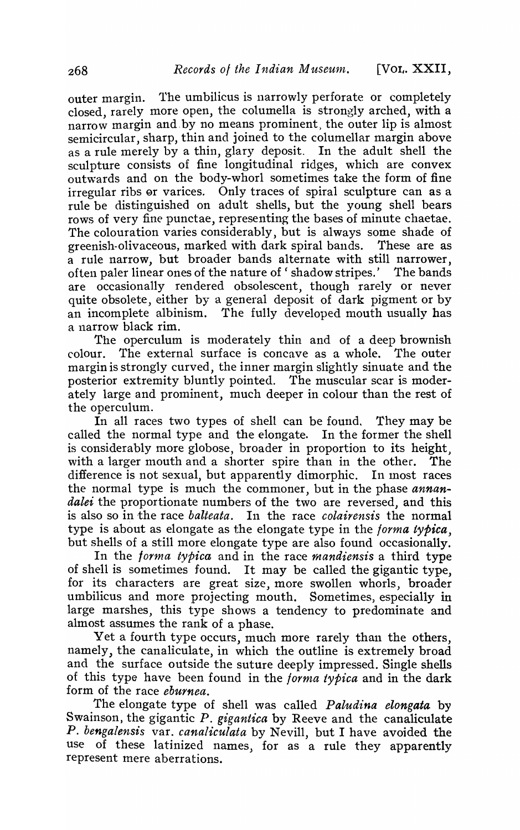outer margin. 1'he umbilicus is narrowly perforate or completely closed, rarely more open, the columella is strongly arched, with a narrow margin and.by no means prominent} the outer lip is almost semicircular, sharp, thin and joined to the columellar margin above as a rule merely by a thin, glary deposit. In the adult shell the sculpture consists of fine longitudinal ridges, which are convex outwards and on the body-whorl sometimes take the form of fine irregular ribs er varices. Only traces of spiral sculpture can as a rule be distinguished on adult shells, but the young shell bears rows of very fine punctae, representing the bases of minute chaetae. The colouration varies considerably, but is always some shade of greenish-olivaceous, marked with dark spiral bands. These are as a rule narrow, but broader bands alternate with still narrower, often paler linear ones of the nature of 'shadow stripes.' The bands are occasionally rendered obsolescent, though rarely or never quite obsolete, either by a general deposit of dark pigment or by an incomplete albinism. The fully developed mouth usually has a narrow black rim.

The operculum is moderately thin and of a deep brownish colour. The external surface is concave as a whole. The outer margin is strongly curved, the inner margin slightly sinuate and the posterior extremity bluntly pointed. The muscular scar is moderately large and prominent, much deeper in colour than the rest of the operculum.

In all races two types of shell can be found. They may be called the normal type and the elongate. In the former the shell is considerably more globose, broader in proportion to its height, with a larger mouth and a shorter spire than in the other. The difference is not sexual, but apparently dimorphic. In most races the normal type is much the commoner, but in the phase *annandalei* the proportionate numbers of the two are reversed, and this is also so in the race *balteata.* In the race *colairensis* the normal type is about as elongate as the elongate type in the *forma typica,*  but shells of a still more elongate type are also found occasionally.

In the *forma typica* and in the race *mandiensis* a third type of shell is sometimes found. It may be called the gigantic type, for its characters are great size, more swollen whorls, broader umbilicus and more projecting mouth. Sometimes, especially in large marshes, this type shows a tendency to predominate and almost assumes the rank of a phase.

Yet a fourth type occurs, much more rarely than the others, namely, the canaliculate, in which the outline is extremely broad and the surface outside the suture deeply impressed. Single shells of this type have been found in the *forma typica* and in the dark form of the race *eburnea.* 

The elongate type of shell was called *Paludina elongata* by Swainson, the gigantic *P. gigantica* by Reeve and the canaliculate *P. bengalensis* var. *canaliculata* by Nevill, but I have avoided the Use of these latinized names, for as a rule they apparently represent mere aberrations.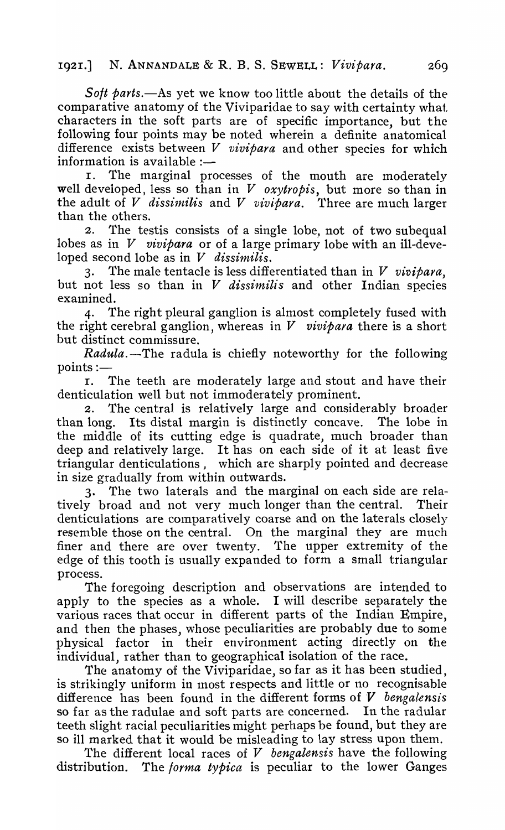*Soft parts.*—As yet we know too little about the details of the comparative anatomy of the Viviparidae to say with certainty what characters in the soft parts are of specific importance, but the following four points may be noted wherein a definite anatomical difference exists between *V vivipara* and other species for which information is available  $:$ -

I. The marginal processes of the mouth are moderately well developed, less so than in *V oxytropis,* but more so than in the adult of *V* dissimilis and *V vivipara*. Three are much larger than the others.

2. The testis consists of a single lobe, not of two subequal lobes as in V *vivipara* or of a large primary lobe with an ill-developed second lobe as in *V dissimilis.* 

3. The male tentacle is less differentiated than in V *vivipara,*  but not less so than in *V dissimilis* and other Indian species examined.

4. The right pleural ganglion is almost completely fused with the right cerebral ganglion, whereas in *V vivipaya* there is a short but distinct commissure.

*Radula.* --The radula is chiefly noteworthy for the following

points :- $\frac{1}{r}$ The teeth are moderately large and stout and have their denticulation well but not immoderately prominent.

2. The central is relatively large and considerably broader than long. Its distal margin is distinctly concave. The lobe in the middle of its cutting edge is quadrate, much broader than deep and relatively large. It has on each side of it at least five triangular denticulations, which are sharply pointed and decrease in size gradually from within outwards.

3. The two laterals and the marginal on each side are relatively broad and not very much longer than the central. Their denticulations are comparatively coarse and on the laterals closely resemble those on the central. On the marginal they are much finer and there are over twenty. The upper extremity of the edge of this tooth is usually expanded to form a small triangular process.

The foregoing description and observations are intended to apply to the species as a whole. I will describe separately the various races that occur in different parts of the Indian Empire, and then the phases, whose peculiarities are probably due to some physical factor in their environment acting directly on the individual, rather than to geographical isolation of the race.

The anatomy of the Viviparidae, so far as it has been studied, is strikingly uniform in most respects and little or no recognisable difference has been found in the different forms of *V bengalensis* so far as the radulae and soft parts are concerned. In the radular teeth slight racial peculiarities might perhaps be found, but they are so ill marked that it would be misleading to lay stress upon them.

The different local races of *V bengalensis* have the following distribution. The *forma typica* is peculiar to the lower Ganges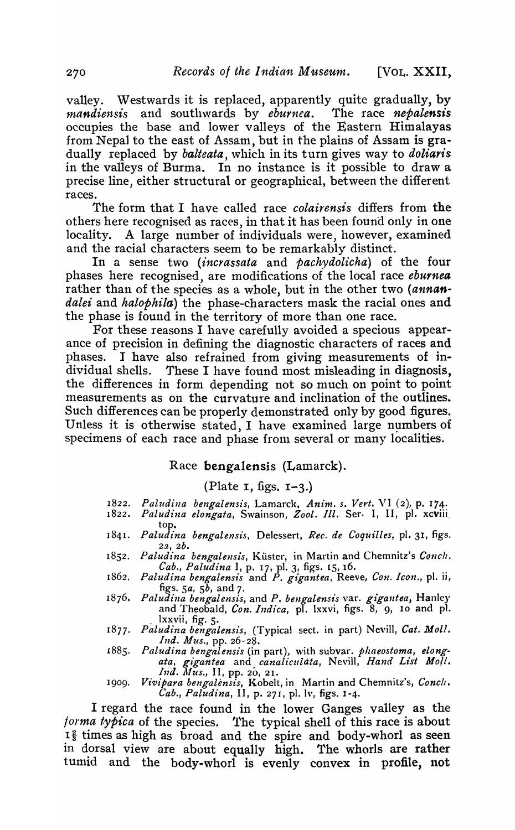valley. Westwards it is replaced, apparently quite gradually, by *mandiensis* and southwards by *eburnea.* The race *nepalensis*  occupies the base and lower valleys of the Eastern Himalayas from NepaJ to the east of Assam, but in the plains of Assam is gradually replaced by *balteata,* which in its turn gives way to *doliaris*  in the valleys of Burma. In no instance is it possible to draw a precise line, either structural or geographical, between the different races.

The form that I have called race *colairensis* differs from the others here recognised as races, in that it has been found only in one locality. A large number of individuals were, however, examined and the racial characters seem to be remarkably distinct.

In a sense two *(incrassata* and *pachydolicha)* of the four phases here recognised, are modifications of the local race eburnea rather than of the species as a whole, but in the other two *(annandalei* and *halophila)* the phase-characters mask the racial ones and the phase is found in the territory of more than one race.

For these reasons I have carefully avoided a specious appearance of precision in defining the diagnostic characters of races and phases. I have also refrained from giving measurements of individual shells. These I have found most misleading in diagnosis, the differences in form depending not so much on point to point measurements as on the curvature and inclination of the outlines. Such differences can be property demonstrated only by good figures. Unless it is otherwise stated, I have examined large numbers of specimens of each race and phase from several or many localities.

## Race bengalensis (Lamarck).

## (Plate  $\overline{\textbf{I}}$ , figs.  $\overline{\textbf{I}}$ -3.)

- *1822. Pall/di1la bengalens£s,* Lamarck, *Anim. s. Vert.* \'1 (2), p. 174·
- *1822. Paludina elongata,* Swainson, *Zool. Ill.* Ser. I, II, p1. xcviii, top.
- ] 841. *Paludt'na bengalensis,* Delessert, *Rec. de Coquilles,* pI. 31, figs. *2a,2b.*
- 1852. Paludina bengalensis, Küster, in Martin and Chemnitz's Conch. *Cab., Paludz'na* I, p. 17, pI. 3, figs. 15,16.
- *1862. Paludina bengalensis* and P. *gigantea,* Reeve, *Con. Icon.,* pI. ii, figs. *Sa,* Sb, and 7.
- 1876. Paludina bengalensis, and P. bengalensis var. gigantea, Hanley and Theobald, *Con. Indica*, pl. lxxvi, figs. 8, 9, 10 and pl. . lxxvii, fig. 5.
- 1877. Paludina bengalensis, (Typical sect. in part) Nevill, Cat. Moll. *Ind. Mus.,* pp. 26-28.
- *1885. Paludina bengalensis* (in part), with subvar. *phaeostoma, elongata, gigantea* and *canaliculata,* Nevill, *Hand List Moll. Ind. Mus., II, pp. 20, 21.*
- 1909. *Vivipara bengalensis*, Kobelt, in Martin and Chemnitz's, Conch. *Cab., Paludina,* II, p. 271, pI. lv, figs. 1-4.

I regard the race found in the lower Ganges valley as the forma typica of the species. The typical shell of this race is about  $I<sup>2</sup>$  times as high as broad and the spire and body-whorl as seen in dorsal view are about equally high. The whorls are rather tumid and the body-whorl is evenly convex in profile, not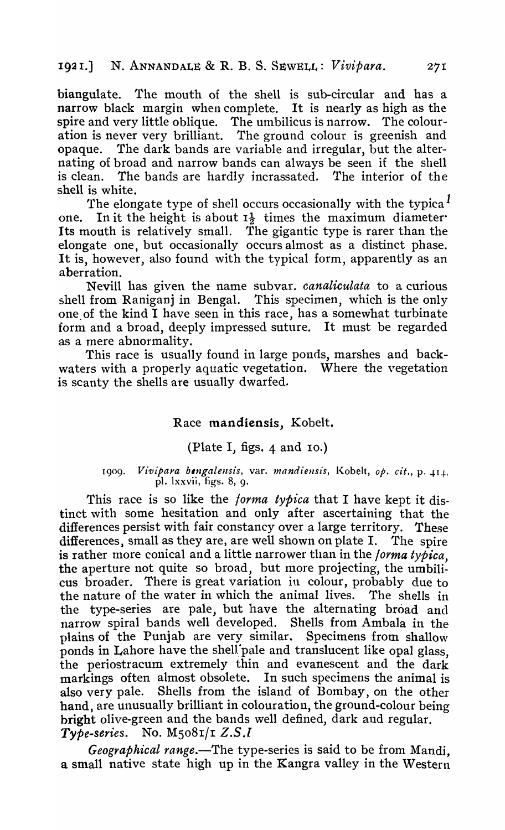biangulate. The mouth of the shell is sub-circular and has a narrow black margin when complete. It is nearly as high as the spire and very little oblique. The umbilicus is narrow. The colouration is never very brilliant. The ground colour is greenish and opaque. The dark bands are variable and irregular, but the alternating of broad and narrow bands can always be seen if the shell is clean. The bands are hardly incrassated. The interior of the shell is white.

The elongate type of shell occurs occasionally with the typica $<sup>1</sup>$ </sup> one. In it the height is about  $I_{\frac{1}{2}}$  times the maximum diameter Its mouth is relatively small. The gigantic type is rarer than the elongate one, but occasionally occurs almost as a distinct phase. It is, however, also found with the typical form, apparently as an aberration.

Nevill has given the name subvar. *canaliculata* to a curious shell from Raniganj in Bengal. This specimen, which is the only one of the kind I have seen in this race, has a somewhat turbinate form and a broad, deeply impressed suture. It must be regarded as a mere abnormality.

This race is usually found in large ponds, marshes and backwaters with a properly aquatic vegetation. Where the vegetation is scanty the shells are usually dwarfed.

# Race mandiensis, Kobelt.

## (Plate I, figs. 4 and 10.)

#### 1909. *Vivipara bengalensis*, var. *mandiensis*, Kobelt, *op. cit.*, p. 414. pI. lxxvii, figs. 8, 9.

This race is so like the *forma typica* that I have kept it distinct with some hesitation and only after ascertaining that the differences persist with fair constancy over a large territory. These  $diff$ erences, small as they are, are well shown on plate I. The spire is rather more conical and a little narrower than in the *forma typica,*  the aperture not quite so broad, but more projecting, the umbilicus broader. There is great variation in colour, probably due to the nature of the water in which the animal lives. The shells in the type-series are pale, but have the alternating broad and narrow spiral bands well developed. Shells from Ambala in the plains of the Punjab are very similar. Specimens from shallow ponds in Lahore have the shell pale and translucent like opal glass. the periostracum extremely thin and evanescent and the dark markings often almost obsolete. In such specimens the animal is also very pale. Shells from the island of Bombay, on the other hand, are unusually brilliant in colouration, the ground-colour being bright olive-green and the bands well defined, dark and regular. *Type-series.* No. Ms08I/r *Z.S.l* 

*Geographical range.*—The type-series is said to be from Mandi, a small native state high up in the Kangra valley in the Western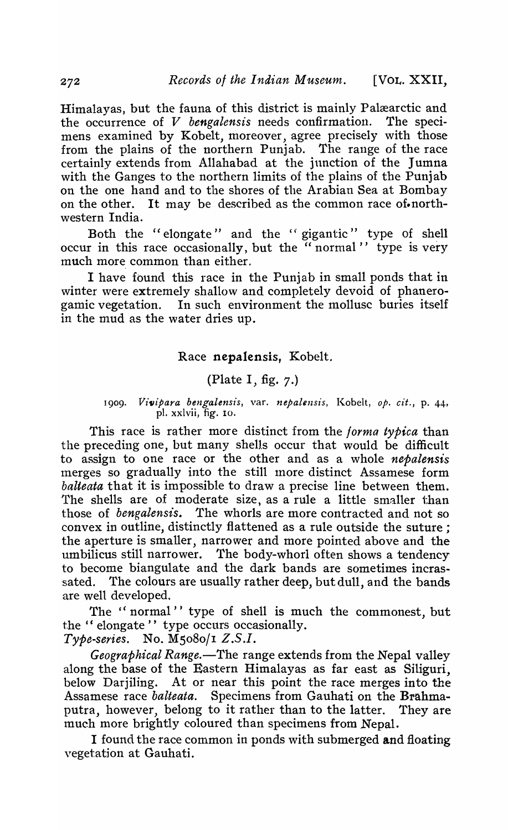Himalayas, but the fauna of this district is mainly Palæarctic and the occurrence of V *bengalensis* needs confirmation. The specimens examined by Kobelt, moreover, agree precisely with those from the plains of the northern Punjab. The range of the race certainly extends from Allahabad at the junction of the Jumna with the Ganges to the northern limits of the plains of the Punjab on the one hand and to the shores of the Arabian Sea at Bombay on the other. It may be described as the common race of northwestern India.

Both the "elongate" and the "gigantic" type of shell occur in this race occasionally, but the "normal" type is very much more common than either.

I have found this race in the Punjab in small ponds that in winter were extremely shallow and completely devoid of phanerogamic vegetation. In such environment the mollusc buries itself in the mud as the water dries up.

### Race nepalensis, Kobelt.

## (Plate I, fig. 7.)

#### 1909. Vivipara bengalensis, var. nepalensis, Kobelt, op. cit., p. 44, pl. xxlvii, fig. 10.

This race is rather more distinct from the *forma typica* than the preceding one, but many shells occur that would be difficult to assign to one race or the other and as a whole *nepalensis*  merges so gradually into the still more distinct Assamese form *balteata* that it is impossible to draw a precise line between them. The shells are of moderate size, as a rule a little smaller than those of *bengalensis.* The whorls are more contracted and not so convex in outline, distinctly flattened as a rule outside the suture; the aperture is smaller, narrower and more pointed above and the umbilicus still narrower. The body-whorl often shows a tendency to become biangulate and the dark bands are sometimes incrassated. The colours are usually rather deep, but dull, and the bands are well developed.

The "normal" type of shell is much the commonest, but the " elongate" type occurs occasionally.

*Type-series.* No. M5080/1 *Z.S.I.* 

*Geographical Range.*—The range extends from the Nepal valley along the base of the Eastern Himalayas as far east as Siliguri, below Darjiling. At or near this point the race merges into the Assamese race *balteata.* Specimens from Gauhati on the Brahmaputra, however, belong to it rather than to the latter. They are much more brightly coloured than specimens from Nepal.

I found the race common in ponds with submerged and floating vegetation at Gauhati.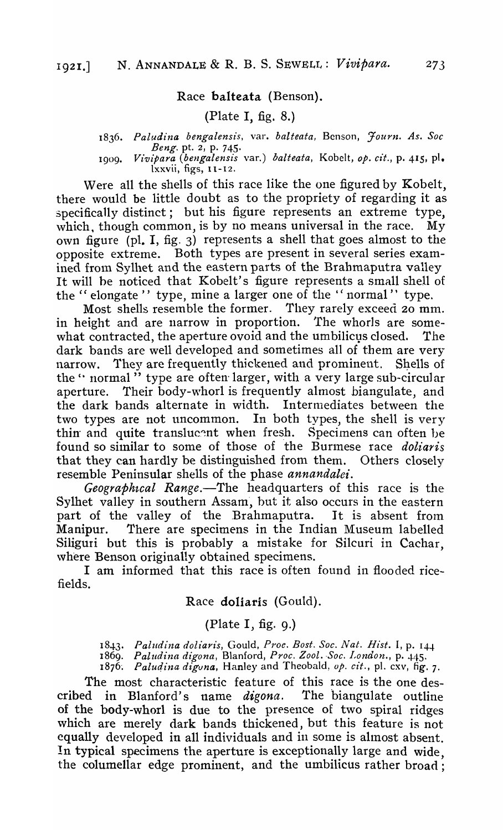### Race balteata (Benson).

## (Plate I, fig. 8.)

*1836• Paludina bengalensis,* var. *balteata,* Benson, *Journ. As. Soc Beng*. pt. 2, p. 745.

*1909. Vivipara (bengalensis* var.) *balteata,* Kobelt, *Ope cit.,* p. 415, pl. lxxvii, figs, 11-12.

Were all the shells of this race like the one figured by Kobelt, there would be little doubt as to the propriety of regarding it as specifically distinct; but his figure represents an extreme type, which, though common, is by no means universal in the race. My own figure (pI. I, fig. 3) represents a shell that goes almost to the opposite extreme. Both types are present in several series examined from Sylhet and the eastern parts of the Brahmaputra valley It will be noticed that Kobelt's figure represents a small shell of the "elongate" type, mine a larger one of the "normal" type.

Most shells resemble the former. They rarely exceed 20 mm.<br>eight and are narrow in proportion. The whorls are somein height and are narrow in proportion. what contracted, the aperture ovoid and the umbilicus closed. The dark bands are well developed and sometimes all of them are very narrow. They are frequently thickened and prominent. Shells of the" normal" type are often larger, with a very large sub-circular aperture. Their body-whorl is frequently almost biangulate, and the dark bands alternate in width. Intermediates between the two types are not uncommon. In both types, the shell is very thin and quite translucent when fresh. Specimens can often be found so similar to some of those of the Burmese race *doliaris* that they can hardly be distinguished from them. Others closely resemble Peninsular shells of the phase *annandalet'.* 

*Geographtcal Range.-The* headquarters of this race is the Sylhet valley in southern Assam, but it also occurs in the eastern part of the valley of the Brahmaputra. It is absent from Manipur. There are specimens in the Indian Museum labelled Siliguri but this is probably a mistake for Silcuri in Cachar, where Benson originally obtained specimens.

I am informed that this race is often found in flooded ricefields.

Race doliaris (Gould).

# (Plate  $I$ , fig. 9.)

*1843. Paludina doliar£s,* Gould, *P1'oe. Bost. Soc. Nat. Rist.* I, p. 14-J. 1869. *Paludina digona, Blanford, Proc. Zool. Soc. London., p. 445.* 

*1876: Palu¢.ina diguna,* Hanley and Theobald, *op. cit.,* pI. cxv, fig. 7.

The most characteristic feature of this race is the one described in Blanford's name *digona.* The biangulate outline of the body-whorl is due to the presence of two spiral ridges which are merely dark bands thickened, but this feature is not equally developed in all individuals and in some is ahnost absent. In typical specimens the aperture is exceptionally large and wide, the columellar edge prominent, and the umbilicus rather broad;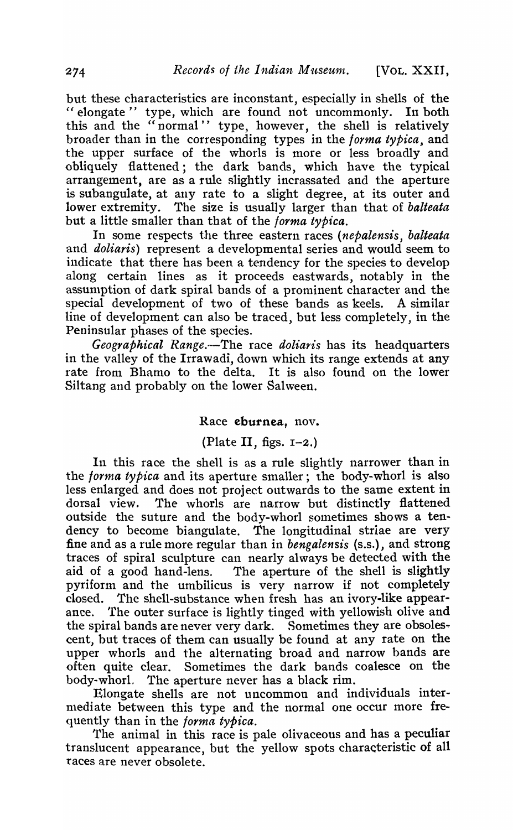but these characteristics are inconstant, especially in shells of the " elongate" type, which are found not uncommonly. In both this and the "normal" type, however, the shell is relatively broader than in the corresponding types in the *forma typica*, and the upper surface of the whorls is more or less broadly and obliquely flattened; the dark bands, which have the typical arrangement, are as a rule slightly incrassated and the aperture is subangulate, at any rate to a slight degree, at its outer and lower extremity. The size is usually larger than that of *balteata*  but a little smaller than that of the forma *typica.* 

In some respects the three eastern races *(nepalensis, balteata*  and *doliaris)* represent a developmental series and would seem to indicate that there has been a tendency for the species to develop along certain lines as it proceeds eastwards, notably in the assumption of dark spiral bands of a prominent character and the special development of two of these bands as keels. A similar line of development can also be traced, but less completely, in the Peninsular phases of the species.

*Geographical Range.--The* race *doliaris* has its headquarters in the valley of the Irrawadi, down which its range extends at any rate from Bhamo to the delta. It is also found on the lower Siltang and probably on the lower Salween.

### Race eburnea, nov.

# (Plate II, figs.  $I-2$ .)

In this race the shell is as a rule slightly narrower than in the *forma typica* and its aperture smaller; the body-whorl is also less enlarged and does not project outwards to the same extent in dorsal view. The whorls are narrow but distinctly flattened outside the suture and the body-whorl sometimes shows a tendency to become biangulate. The longitudinal striae are very fine and as a rule more regular than in *bengalensis* (s.s.), and strong traces of spiral sculpture can nearly always be detected with the aid of a good hand-lens. The aperture of the shell is slightly pyriform and the umbilicus is very narrow if not completely closed. The shell-substance when fresh has an ivory-like appearance. The outer surface is lightly tinged with yellowish olive and the spiral bands are never very dark. Sometimes they are obsolescent) but traces of them can usually be found at any rate on the upper whorls and the a1ternating broad and narrow bands are often quite clear. Sometimes the dark bands coalesce on the body-whorl. The aperture never has a black rim.

Elongate shells are not uncommon and individuals intermediate between this type and the normal one occur more frequently than in the forma *typica.* 

The animal in this race is pale olivaceous and has a peculiar translucent appearance, but the yellow spots characteristic of all races are never obsolete.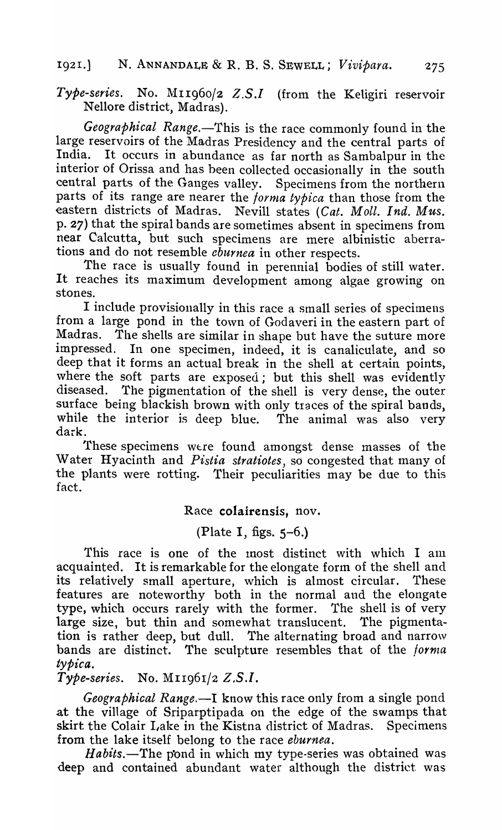# 192I.) N. ANNANDALE & R. B. S. SEWELL; *Vivipara.*

Type-series. No. M11960/2 Z.S.I (from the Keligiri reservoir Nellore district, Madras).

Geographical Range.-This is the race commonly found in the large reservoirs of the Madras Presidency and the central parts of India. It occurs in abundance as far north as Sambalnur in the It occurs in abundance as far north as Sambalpur in the interior of Orissa and has been collected occasionally in the south central parts of the Ganges valley. Specimens from the northern parts of its range are nearer the *torrna typica* than those from the eastern districts of Madras. Nevill states *(Cat. Moll. Ind. Mus.*  p. 27) that the spiral bands are sometimes absent in specimens from near Calcutta, but such specimens are mere albinistic aberrations and do not resemble *eburnea* in other respects.

The race is usually found in perennial bodies of still water. It reaches its maximum development among algae growing on stones.

I include provisionally in this race a small series of specimens from a large pond in the town of Godaveri in the eastern part of Madras. The shells are similar in shape but have the suture more impressed. In one specimen, indeed, it is canaliculate, and so In one specimen, indeed, it is canaliculate, and so deep that it forms an actual break in the shell at certain points, where the soft parts are exposed; but this shell was evidently diseased. The pigmentation of the shell is very dense, the outer The pigmentation of the shell is very dense, the outer surface being blackish brown with only traces of the spiral bands, while the interior is deep blue. The animal was also very dark.

These specimens were found amongst dense masses of the Water Hyacinth and *Pistia stratiotes,* so congested that many of the plants were rotting. Their peculiarities may be due to this fact.

Race colairensis, nov.

(Plate I, figs. 5-6.)

This race is one of the most distinct with which I am acquainted. It is remarkable for the elongate form of the shell and its relatively small aperture, which is almost circular. These features are noteworthy both in the normal and the elongate type, which occurs rarely with the former. The shell is of very large size, but thin and somewhat translucent. The pigmentation is rather deep, but dull. The alternating broad and narrow bands are distinct. The sculpture resembles that of the *forma tYPical* 

*Type-series.* No. MII96I/2 *Z,S.l.* 

*Geographical Range*.—I know this race only from a single pond at the village of Sriparptipada on the edge of the swamps that skirt the Colair Lake in the Kistna district of Madras. Specimens from the lake itself belong to the race *eburnea.* 

*Habits.*-The pond in which my type-series was obtained was deep and contained abundant water although the district was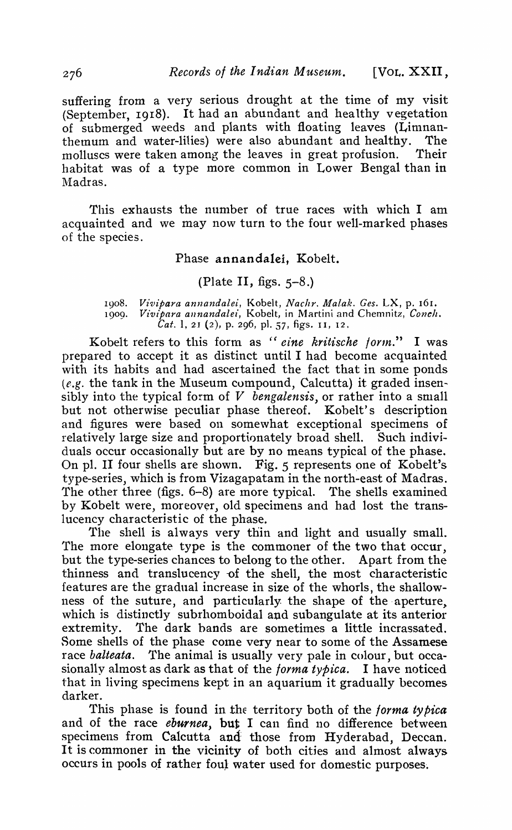suffering from a very serious drought at the time of my visit (September, 1918), It had an abundant and healthy vegetation of submerged weeds and plants with floating leaves (Limnanthemum and water-lilies) were also abundant and healthy. The molluscs were taken among the leaves in great profusion. Their habitat was of a type more common in Lower Bengal than in Madras.

This exhausts the number of true races with which I am acquainted and we may now turn to the four well-marked phases of the species.

### Phase annandalei, Kobelt.

## (Plate II, figs.  $5-8$ .)

1908. Vivipara annandalei, Kobelt, Nachr. Malak. Ges. LX, p. 161. 1909. *Vivipara annandalei*, Kobelt, in Martini and Chemnitz, Conch. *Cat. 1, 21 (2), p. 296, pl. 57, figs. 11, 12.* 

Kobelt refers to this form as *"eine kritische loynt."* I was prepared to accept it as distinct until I had become acquainted with its habits and had ascertained the fact that in some ponds  $(e.g.$  the tank in the Museum compound, Calcutta) it graded insensibly into the typical form of V *bengalensis,* or rather into a small but not otherwise peculiar phase thereof. Kobelt's description and figures were based on somewhat exceptional specimens of relatively large size and proportionately broad shell. Such individuals occur occasionally but are by no means typical of the phase. On pl. II four shells are shown. Fig.  $5$  represents one of Kobelt's type-series, which is from Vizagapatam in the north-east of Madras. The other three (figs. 6-8) are more typical. The shells examined by Kobelt were, moreover, old specimens and had lost the translucency characteristic of the phase.

The shell is always very thin and light and usually small. The more elongate type is the commoner of the two that occur, but the type-series chances to belong to the other. Apart from the thinness and translucency of the shell, the most characteristic features are the gradual increase in size of the whorls, the shallowness of the suture, and particularly the shape of the aperture, which is distinctly subrhomboidal and subangulate at its anterior extremity. The dark hands are sometimes a little incrassated. Some shells of the phase come very near to some of the Assamese race *balteata.* The animal is usually very pale in colour, but occasionally almost as dark as that of the *forma typica*. I have noticed that in living specimens kept in an aquarium it gradually becomes darker.

This phase is found in the territory both of the *forma typica* and of the race *eburnea*, but I can find no difference between specimens from Calcutta and those from Hyderabad, Deccan. It is commoner in the vicinity of both cities and almost always occurs in pools of rather foul water used for domestic purposes.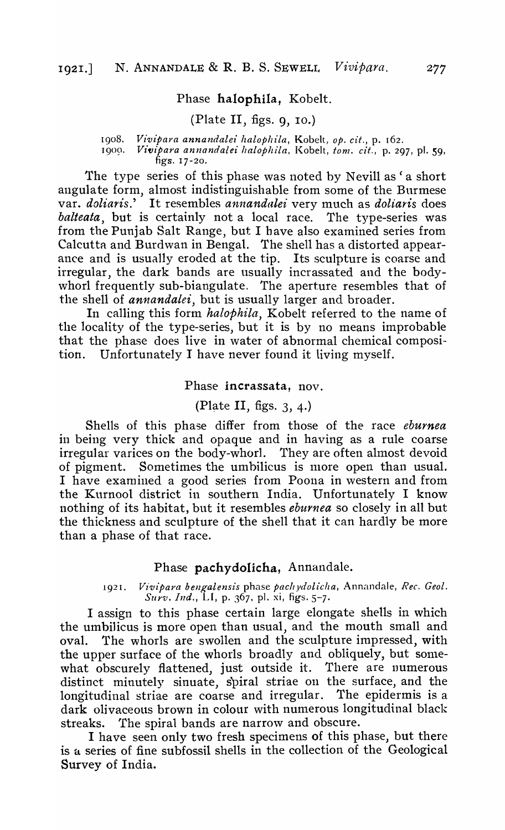### Phase halophila, Kobelt.

## (Plate II, figs.  $9, 10$ .)

1908. *Vivipara annandalei halophila*, Kobelt, *op. cit.*, p. 162.<br>1900. *Vivipara annandalei halophila*, Kobelt, tom. cit., p. 29

Vivipara annandalei halophila, Kobelt, tom. cit., p. 297, pl. 59, figs. 17-20.

The type series of this phase was noted by Nevill as ' a short angula te form, almost indistinguishable from some of the Burmese var. *doliaris.'* It resembles *annandalei* very much as *doliaris* does *balteata,* but is certainly not a local race. The type-series was from the Punjab Salt Range, but I have also examined series from Calcutta and Burdwan in Bengal. The shell has a distorted appearance and is usually eroded at the tip. Its sculpture is coarse and irregular, the dark bands are usually incrassated and the bodywhorl frequently sub-biangulate. The aperture resembles that of the shell of *annandalei,* but is usually larger and broader.

In calling this form *halophila,* Kobelt referred to the name of the locality of the type-series, but it is by no means improbable that the phase does live in water of abnormal chemical composition. Unfortunately I have never found it living myself.

#### Phase incrassata, nov.

(Plate II, figs.  $3, 4$ .)

Shells of this phase differ from those of the race *eburnea*  in being very thick and opaque and in having as a rule coarse irregular varices on the body-whorl. They are often almost devoid of pigment. Sometimes the umbilicus is more open than usual. I have examined a good series from Poona in western and from the Kurnool district in southern India. Unfortunately I know nothing of its habitat, but it resembles *eburnea* so closely in all but the thickness and sculpture of the shell that it can hardly be more than a phase of that race.

#### Phase pachydolicha, Annandale.

1921. *Vivipara bengalensis* phase *pachydolicha*, Annandale, *Rec. Geol. Surv. Ind.,* LI, p. 367, pI. xi, figs. 5-7.

I assign to this phase certain large elongate shells in which the umbilicus is more open than usual, and the mouth small and oval. The whorls are swollen and the sculpture impressed, with the upper surface of the whorls broadly and obliquely, but somewhat obscurely flattened, just outside it. There are numerous distinct minutely sinuate, spiral striae on the surface, and the longitudinal striae are coarse and irregular. The epidermis is a dark olivaceous brown in colour with numerous longitudinal black streaks. The spiral bands are narrow and obscure.

I have seen only two fresh specimens of this phase, but there is a series of fine subfossil shells in the collection of the Geological Survey of India.